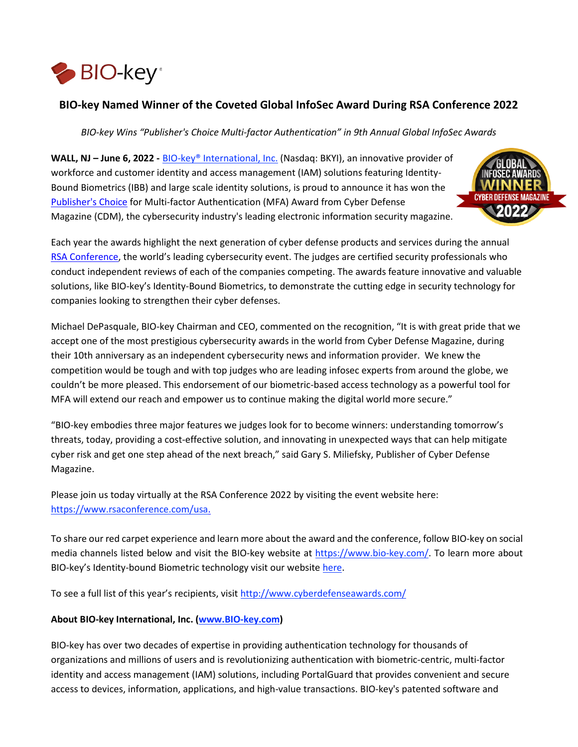

# **BIO-key Named Winner of the Coveted Global InfoSec Award During RSA Conference 2022**

*BIO-key Wins "Publisher's Choice Multi-factor Authentication" in 9th Annual Global InfoSec Awards* 

**WALL, NJ – June 6, 2022 [-](https://www.bio-key.com/)** [BIO-key® International, Inc.](https://www.bio-key.com/) (Nasdaq: BKYI), an innovative provider of workforce and customer identity and access management (IAM) solutions featuring Identity-Bound Biometrics (IBB) and large scale identity solutions, is proud to announce it has won the [Publisher's Choice](http://www.cyberdefenseawards.com/) for Multi-factor Authentication (MFA) Award from Cyber Defense Magazine (CDM), the cybersecurity industry's leading electronic information security magazine.



Each year the awards highlight the next generation of cyber defense products and services during the annual [RSA Conference,](https://www.rsaconference.com/usa) the world's leading cybersecurity event. The judges are certified security professionals who conduct independent reviews of each of the companies competing. The awards feature innovative and valuable solutions, like BIO-key's Identity-Bound Biometrics, to demonstrate the cutting edge in security technology for companies looking to strengthen their cyber defenses.

Michael DePasquale, BIO-key Chairman and CEO, commented on the recognition, "It is with great pride that we accept one of the most prestigious cybersecurity awards in the world from Cyber Defense Magazine, during their 10th anniversary as an independent cybersecurity news and information provider. We knew the competition would be tough and with top judges who are leading infosec experts from around the globe, we couldn't be more pleased. This endorsement of our biometric-based access technology as a powerful tool for MFA will extend our reach and empower us to continue making the digital world more secure."

"BIO-key embodies three major features we judges look for to become winners: understanding tomorrow's threats, today, providing a cost-effective solution, and innovating in unexpected ways that can help mitigate cyber risk and get one step ahead of the next breach," said Gary S. Miliefsky, Publisher of Cyber Defense Magazine.

Please join us today virtually at the RSA Conference 2022 by visiting the event website here[:](https://www.rsaconference.com/usa) [https://www.rsaconference.com/usa.](https://www.rsaconference.com/usa)

To share our red carpet experience and learn more about the award and the conference, follow BIO-key on social media channels listed below and visit the BIO-key website at [https://www.bio-key.com/.](https://www.bio-key.com/) To learn more about BIO-key's Identity-bound Biometric technology visit our websit[e here.](https://www.bio-key.com/)

To see a full list of this year's recipients, visi[t http://www.cyberdefenseawards.com/](http://www.cyberdefenseawards.com/)

## **About BIO-key International, Inc. [\(www.BIO-key.com\)](http://www.bio-key.com/)**

BIO-key has over two decades of expertise in providing authentication technology for thousands of organizations and millions of users and is revolutionizing authentication with biometric-centric, multi-factor identity and access management (IAM) solutions, including PortalGuard that provides convenient and secure access to devices, information, applications, and high-value transactions. BIO-key's patented software and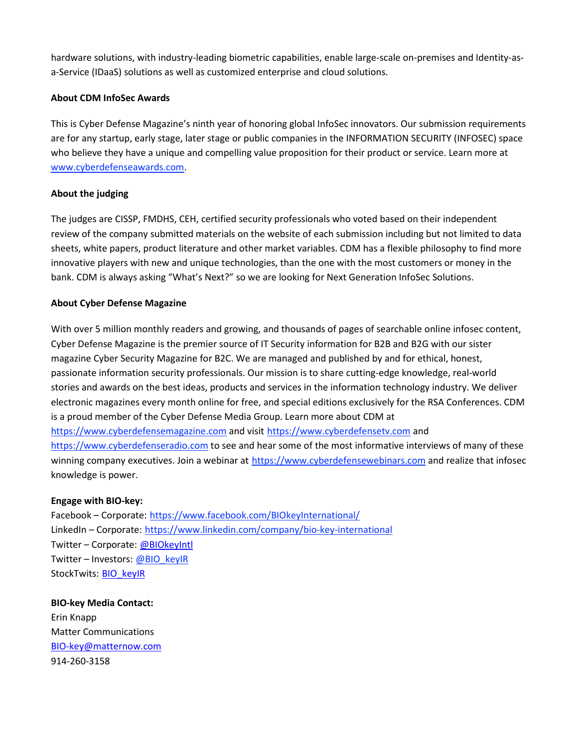hardware solutions, with industry-leading biometric capabilities, enable large-scale on-premises and Identity-asa-Service (IDaaS) solutions as well as customized enterprise and cloud solutions.

#### **About CDM InfoSec Awards**

This is Cyber Defense Magazine's ninth year of honoring global InfoSec innovators. Our submission requirements are for any startup, early stage, later stage or public companies in the INFORMATION SECURITY (INFOSEC) space who believe they have a unique and compelling value proposition for their product or service. Learn more a[t](https://matternow-my.sharepoint.com/personal/dweimer_matternow_com/Documents/Documents/www.cyberdefenseawards.com) [www.cyberdefenseawards.com.](http://www.cyberdefenseawards.com/)

## **About the judging**

The judges are CISSP, FMDHS, CEH, certified security professionals who voted based on their independent review of the company submitted materials on the website of each submission including but not limited to data sheets, white papers, product literature and other market variables. CDM has a flexible philosophy to find more innovative players with new and unique technologies, than the one with the most customers or money in the bank. CDM is always asking "What's Next?" so we are looking for Next Generation InfoSec Solutions.

## **About Cyber Defense Magazine**

With over 5 million monthly readers and growing, and thousands of pages of searchable online infosec content, Cyber Defense Magazine is the premier source of IT Security information for B2B and B2G with our sister magazine Cyber Security Magazine for B2C. We are managed and published by and for ethical, honest, passionate information security professionals. Our mission is to share cutting-edge knowledge, real-world stories and awards on the best ideas, products and services in the information technology industry. We deliver electronic magazines every month online for free, and special editions exclusively for the RSA Conferences. CDM is a proud member of the Cyber Defense Media Group. Learn more about CDM a[t](https://www.cyberdefensemagazine.com/) [https://www.cyberdefensemagazine.com](https://www.cyberdefensemagazine.com/) and visit [https://www.cyberdefensetv.com](https://www.cyberdefensetv.com/) an[d](https://www.cyberdefenseradio.com/) [https://www.cyberdefenseradio.com](https://www.cyberdefenseradio.com/) to see and hear some of the most informative interviews of many of these winning company executives. Join a webinar a[t](https://www.cyberdefensewebinars.com/) [https://www.cyberdefensewebinars.com](https://www.cyberdefensewebinars.com/) and realize that infosec knowledge is power.

#### **Engage with BIO-key:**

Facebook – Corporate[:](https://www.facebook.com/BIOkeyInternational/) <https://www.facebook.com/BIOkeyInternational/> LinkedIn – Corporate[:](https://www.linkedin.com/company/bio-key-international) <https://www.linkedin.com/company/bio-key-international> Twitter – Corporate[:](http://biokeyintl/) [@BIOkeyIntl](https://twitter.com/BIOkeyIntl)  Twitter – Investors[:](http://bio_keyir/) @BIO\_keyIR StockTwits: [BIO\\_keyIR](https://stocktwits.com/BIO_keyIR) 

**BIO-key Media Contact:**  Erin Knapp Matter Communications [BIO-key@matternow.com](mailto:BIO-key@matternow.com)  914-260-3158